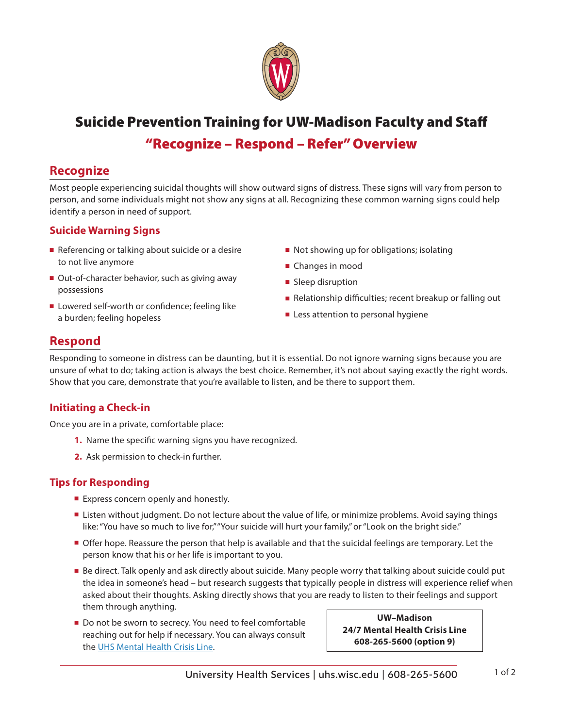

# Suicide Prevention Training for UW-Madison Faculty and Staff "Recognize – Respond – Refer" Overview

## **Recognize**

Most people experiencing suicidal thoughts will show outward signs of distress. These signs will vary from person to person, and some individuals might not show any signs at all. Recognizing these common warning signs could help identify a person in need of support.

#### **Suicide Warning Signs**

- $\blacksquare$  Referencing or talking about suicide or a desire to not live anymore
- Out-of-character behavior, such as giving away possessions
- Lowered self-worth or confidence; feeling like a burden; feeling hopeless
- $\blacksquare$  Not showing up for obligations; isolating
- Changes in mood
- **n** Sleep disruption
- Relationship difficulties; recent breakup or falling out
- $\blacksquare$  Less attention to personal hygiene

## **Respond**

Responding to someone in distress can be daunting, but it is essential. Do not ignore warning signs because you are unsure of what to do; taking action is always the best choice. Remember, it's not about saying exactly the right words. Show that you care, demonstrate that you're available to listen, and be there to support them.

### **Initiating a Check-in**

Once you are in a private, comfortable place:

- **1.** Name the specific warning signs you have recognized.
- **2.** Ask permission to check-in further.

#### **Tips for Responding**

- **Express concern openly and honestly.**
- **Example 1** Listen without judgment. Do not lecture about the value of life, or minimize problems. Avoid saying things like: "You have so much to live for," "Your suicide will hurt your family," or "Look on the bright side."
- **Offer hope. Reassure the person that help is available and that the suicidal feelings are temporary. Let the** person know that his or her life is important to you.
- **Be direct. Talk openly and ask directly about suicide. Many people worry that talking about suicide could put** the idea in someone's head – but research suggests that typically people in distress will experience relief when asked about their thoughts. Asking directly shows that you are ready to listen to their feelings and support them through anything.
- Do not be sworn to secrecy. You need to feel comfortable reaching out for help if necessary. You can always consult the [UHS Mental Health Crisis Line.](https://www.uhs.wisc.edu/mental-health/24-hour-crisis-services/)

**UW–Madison 24/7 Mental Health Crisis Line 608-265-5600 (option 9)**